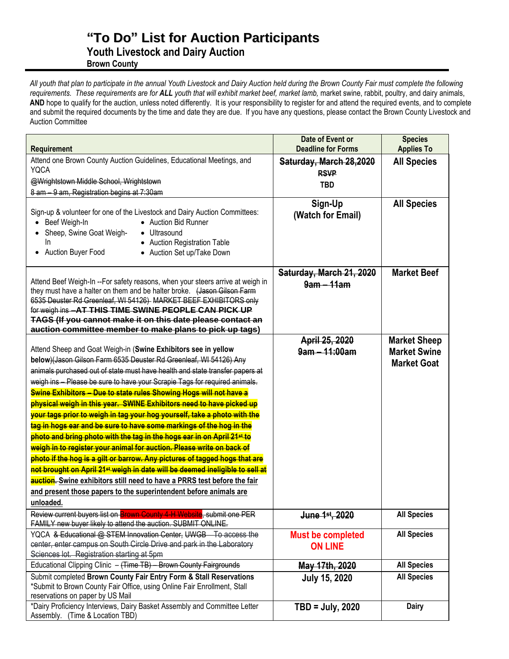## **"To Do" List for Auction Participants**

**Youth Livestock and Dairy Auction**

**Brown County**

*All youth that plan to participate in the annual Youth Livestock and Dairy Auction held during the Brown County Fair must complete the following requirements. These requirements are for ALL youth that will exhibit market beef, market lamb,* market swine, rabbit, poultry, and dairy animals, AND hope to qualify for the auction, unless noted differently. It is your responsibility to register for and attend the required events, and to complete and submit the required documents by the time and date they are due. If you have any questions, please contact the Brown County Livestock and Auction Committee

| <b>Requirement</b>                                                                                                                                                                                                                                                                                                                                                                                                                                                                                                                                                                                                                                                                                                                                                                                                                                                                                                                                                                                                                                                                                                      | Date of Event or<br><b>Deadline for Forms</b> | <b>Species</b><br><b>Applies To</b>                              |
|-------------------------------------------------------------------------------------------------------------------------------------------------------------------------------------------------------------------------------------------------------------------------------------------------------------------------------------------------------------------------------------------------------------------------------------------------------------------------------------------------------------------------------------------------------------------------------------------------------------------------------------------------------------------------------------------------------------------------------------------------------------------------------------------------------------------------------------------------------------------------------------------------------------------------------------------------------------------------------------------------------------------------------------------------------------------------------------------------------------------------|-----------------------------------------------|------------------------------------------------------------------|
| Attend one Brown County Auction Guidelines, Educational Meetings, and<br><b>YQCA</b>                                                                                                                                                                                                                                                                                                                                                                                                                                                                                                                                                                                                                                                                                                                                                                                                                                                                                                                                                                                                                                    | Saturday, March 28,2020<br><b>RSVP</b>        | <b>All Species</b>                                               |
| @Wrightstown Middle School, Wrightstown                                                                                                                                                                                                                                                                                                                                                                                                                                                                                                                                                                                                                                                                                                                                                                                                                                                                                                                                                                                                                                                                                 |                                               |                                                                  |
| 8 am - 9 am, Registration begins at 7:30am                                                                                                                                                                                                                                                                                                                                                                                                                                                                                                                                                                                                                                                                                                                                                                                                                                                                                                                                                                                                                                                                              | <b>TBD</b>                                    |                                                                  |
| Sign-up & volunteer for one of the Livestock and Dairy Auction Committees:<br>• Auction Bid Runner<br>Beef Weigh-In<br>Sheep, Swine Goat Weigh-<br>• Ultrasound<br>In<br>• Auction Registration Table<br>• Auction Buyer Food<br>• Auction Set up/Take Down                                                                                                                                                                                                                                                                                                                                                                                                                                                                                                                                                                                                                                                                                                                                                                                                                                                             | Sign-Up<br>(Watch for Email)                  | <b>All Species</b>                                               |
| Attend Beef Weigh-In --For safety reasons, when your steers arrive at weigh in<br>they must have a halter on them and be halter broke. (Jason Gilson Farm<br>6535 Deuster Rd Greenleaf, WI 54126) MARKET BEEF EXHIBITORS only<br>for weigh ins -AT THIS TIME SWINE PEOPLE CAN PICK UP<br>TAGS (If you cannot make it on this date please contact an<br>auction committee member to make plans to pick up tags)                                                                                                                                                                                                                                                                                                                                                                                                                                                                                                                                                                                                                                                                                                          | Saturday, March 21, 2020<br>$9am - 11am$      | <b>Market Beef</b>                                               |
| Attend Sheep and Goat Weigh-in (Swine Exhibitors see in yellow<br>below)(Jason Gilson Farm 6535 Deuster Rd Greenleaf, WI 54126) Any<br>animals purchased out of state must have health and state transfer papers at<br>weigh ins - Please be sure to have your Scrapie Tags for required animals.<br><b>Swine Exhibitors - Due to state rules Showing Hogs will not have a</b><br>physical weigh in this year. SWINE Exhibitors need to have picked up<br>your tags prior to weigh in tag your hog yourself, take a photo with the<br>tag in hogs ear and be sure to have some markings of the hog in the<br>photo and bring photo with the tag in the hogs ear in on April 21 <sup>st</sup> to<br>weigh in to register your animal for auction. Please write on back of<br>photo if the hog is a gilt or barrow. Any pictures of tagged hogs that are<br>not brought on April 21 <sup>st</sup> weigh in date will be deemed ineligible to sell at<br><b>auction.</b> Swine exhibitors still need to have a PRRS test before the fair<br>and present those papers to the superintendent before animals are<br>unloaded. | April 25, 2020<br>9am - 11:00am               | <b>Market Sheep</b><br><b>Market Swine</b><br><b>Market Goat</b> |
| Review current buyers list on Brown County 4 H Website, submit one PER<br>FAMILY new buyer likely to attend the auction. SUBMIT ONLINE.                                                                                                                                                                                                                                                                                                                                                                                                                                                                                                                                                                                                                                                                                                                                                                                                                                                                                                                                                                                 | June 1st, 2020                                | <b>All Species</b>                                               |
| YQCA & Educational @ STEM Innovation Center, UWGB To access the<br>center, enter campus on South Circle Drive and park in the Laboratory<br>Sciences lot. Registration starting at 5pm                                                                                                                                                                                                                                                                                                                                                                                                                                                                                                                                                                                                                                                                                                                                                                                                                                                                                                                                  | <b>Must be completed</b><br><b>ON LINE</b>    | <b>All Species</b>                                               |
| Educational Clipping Clinic - (Time TB) - Brown County Fairgrounds                                                                                                                                                                                                                                                                                                                                                                                                                                                                                                                                                                                                                                                                                                                                                                                                                                                                                                                                                                                                                                                      | May 17th, 2020                                | <b>All Species</b>                                               |
| Submit completed Brown County Fair Entry Form & Stall Reservations<br>*Submit to Brown County Fair Office, using Online Fair Enrollment, Stall<br>reservations on paper by US Mail                                                                                                                                                                                                                                                                                                                                                                                                                                                                                                                                                                                                                                                                                                                                                                                                                                                                                                                                      | <b>July 15, 2020</b>                          | <b>All Species</b>                                               |
| *Dairy Proficiency Interviews, Dairy Basket Assembly and Committee Letter<br>Assembly. (Time & Location TBD)                                                                                                                                                                                                                                                                                                                                                                                                                                                                                                                                                                                                                                                                                                                                                                                                                                                                                                                                                                                                            | $TBD = July, 2020$                            | <b>Dairy</b>                                                     |